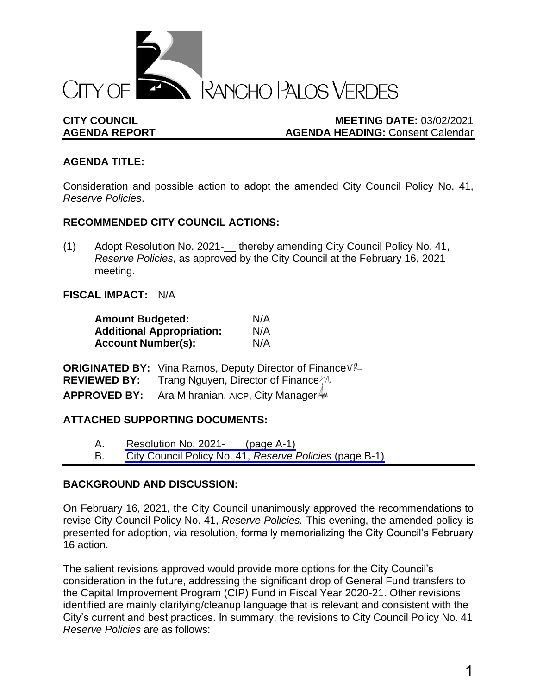

## **CITY COUNCIL MEETING DATE:** 03/02/2021 **AGENDA REPORT AGENDA HEADING:** Consent Calendar

## **AGENDA TITLE:**

Consideration and possible action to adopt the amended City Council Policy No. 41, *Reserve Policies*.

#### **RECOMMENDED CITY COUNCIL ACTIONS:**

(1) Adopt Resolution No. 2021-\_\_ thereby amending City Council Policy No. 41, *Reserve Policies,* as approved by the City Council at the February 16, 2021 meeting.

## **FISCAL IMPACT:** N/A

| <b>Amount Budgeted:</b>          | N/A |
|----------------------------------|-----|
| <b>Additional Appropriation:</b> | N/A |
| <b>Account Number(s):</b>        | N/A |

**ORIGINATED BY:** Vina Ramos, Deputy Director of Finance VR **REVIEWED BY:** Trang Nguyen, Director of Finance  $\mathbb{W}$ **APPROVED BY:** Ara Mihranian, AICP, City Manager

## **ATTACHED SUPPORTING DOCUMENTS:**

- A. [Resolution No. 2021-\\_\\_\\_ \(page A-1\)](#page-2-0)
- B. [City Council Policy No. 41,](#page-4-0) *Reserve Policies* (page B-1)

## **BACKGROUND AND DISCUSSION:**

On February 16, 2021, the City Council unanimously approved the recommendations to revise City Council Policy No. 41, *Reserve Policies.* This evening, the amended policy is presented for adoption, via resolution, formally memorializing the City Council's February 16 action.

The salient revisions approved would provide more options for the City Council's consideration in the future, addressing the significant drop of General Fund transfers to the Capital Improvement Program (CIP) Fund in Fiscal Year 2020-21. Other revisions identified are mainly clarifying/cleanup language that is relevant and consistent with the City's current and best practices. In summary, the revisions to City Council Policy No. 41 *Reserve Policies* are as follows: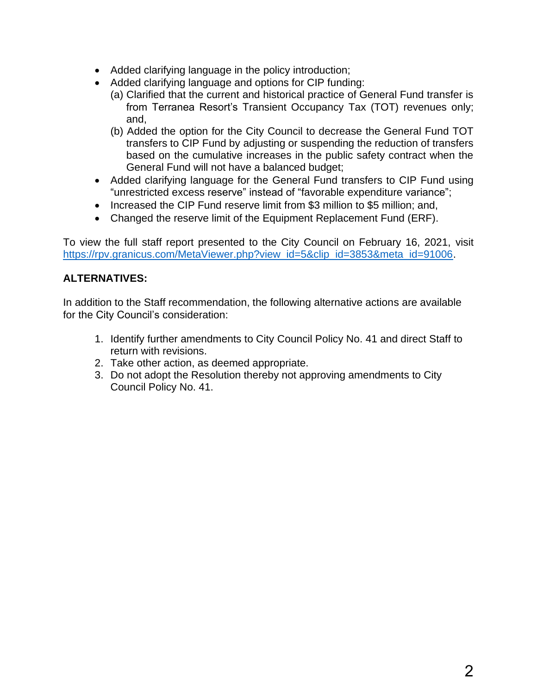- Added clarifying language in the policy introduction;
- Added clarifying language and options for CIP funding:
	- (a) Clarified that the current and historical practice of General Fund transfer is from Terranea Resort's Transient Occupancy Tax (TOT) revenues only; and,
	- (b) Added the option for the City Council to decrease the General Fund TOT transfers to CIP Fund by adjusting or suspending the reduction of transfers based on the cumulative increases in the public safety contract when the General Fund will not have a balanced budget;
- Added clarifying language for the General Fund transfers to CIP Fund using "unrestricted excess reserve" instead of "favorable expenditure variance";
- Increased the CIP Fund reserve limit from \$3 million to \$5 million; and,
- Changed the reserve limit of the Equipment Replacement Fund (ERF).

To view the full staff report presented to the City Council on February 16, 2021, visit [https://rpv.granicus.com/MetaViewer.php?view\\_id=5&clip\\_id=3853&meta\\_id=91006.](https://rpv.granicus.com/MetaViewer.php?view_id=5&clip_id=3853&meta_id=91006)

# **ALTERNATIVES:**

In addition to the Staff recommendation, the following alternative actions are available for the City Council's consideration:

- 1. Identify further amendments to City Council Policy No. 41 and direct Staff to return with revisions.
- 2. Take other action, as deemed appropriate.
- 3. Do not adopt the Resolution thereby not approving amendments to City Council Policy No. 41.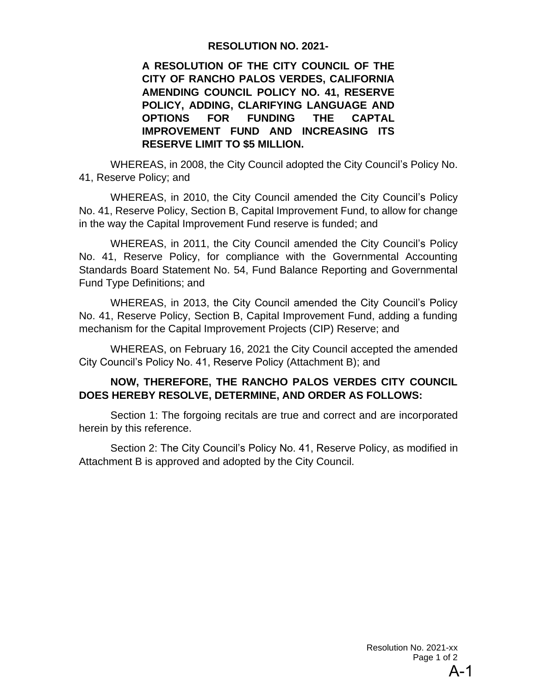#### **RESOLUTION NO. 2021-**

<span id="page-2-0"></span>**A RESOLUTION OF THE CITY COUNCIL OF THE CITY OF RANCHO PALOS VERDES, CALIFORNIA AMENDING COUNCIL POLICY NO. 41, RESERVE POLICY, ADDING, CLARIFYING LANGUAGE AND OPTIONS FOR FUNDING THE CAPTAL IMPROVEMENT FUND AND INCREASING ITS RESERVE LIMIT TO \$5 MILLION.**

WHEREAS, in 2008, the City Council adopted the City Council's Policy No. 41, Reserve Policy; and

WHEREAS, in 2010, the City Council amended the City Council's Policy No. 41, Reserve Policy, Section B, Capital Improvement Fund, to allow for change in the way the Capital Improvement Fund reserve is funded; and

WHEREAS, in 2011, the City Council amended the City Council's Policy No. 41, Reserve Policy, for compliance with the Governmental Accounting Standards Board Statement No. 54, Fund Balance Reporting and Governmental Fund Type Definitions; and

WHEREAS, in 2013, the City Council amended the City Council's Policy No. 41, Reserve Policy, Section B, Capital Improvement Fund, adding a funding mechanism for the Capital Improvement Projects (CIP) Reserve; and

WHEREAS, on February 16, 2021 the City Council accepted the amended City Council's Policy No. 41, Reserve Policy (Attachment B); and

## **NOW, THEREFORE, THE RANCHO PALOS VERDES CITY COUNCIL DOES HEREBY RESOLVE, DETERMINE, AND ORDER AS FOLLOWS:**

Section 1: The forgoing recitals are true and correct and are incorporated herein by this reference.

Section 2: The City Council's Policy No. 41, Reserve Policy, as modified in Attachment B is approved and adopted by the City Council.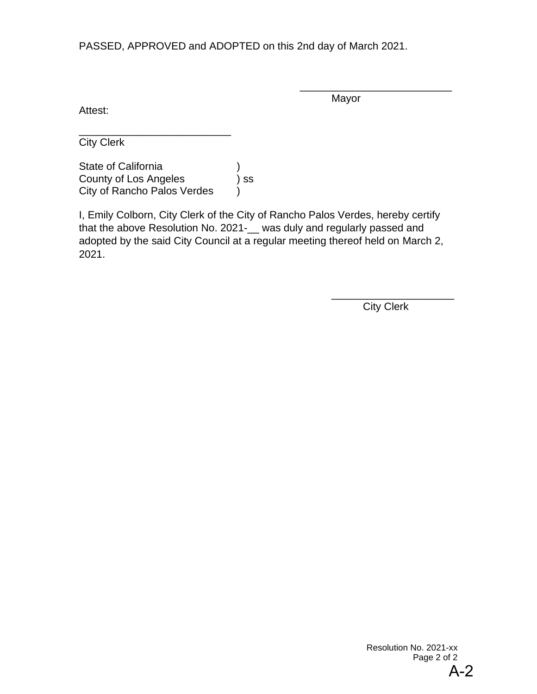PASSED, APPROVED and ADOPTED on this 2nd day of March 2021.

Attest:

Mayor

\_\_\_\_\_\_\_\_\_\_\_\_\_\_\_\_\_\_\_\_\_\_\_\_\_\_

\_\_\_\_\_\_\_\_\_\_\_\_\_\_\_\_\_\_\_\_\_\_\_\_\_\_ City Clerk

State of California (1) County of Los Angeles ) ss City of Rancho Palos Verdes )

I, Emily Colborn, City Clerk of the City of Rancho Palos Verdes, hereby certify that the above Resolution No. 2021-\_\_ was duly and regularly passed and adopted by the said City Council at a regular meeting thereof held on March 2, 2021.

City Clerk

\_\_\_\_\_\_\_\_\_\_\_\_\_\_\_\_\_\_\_\_\_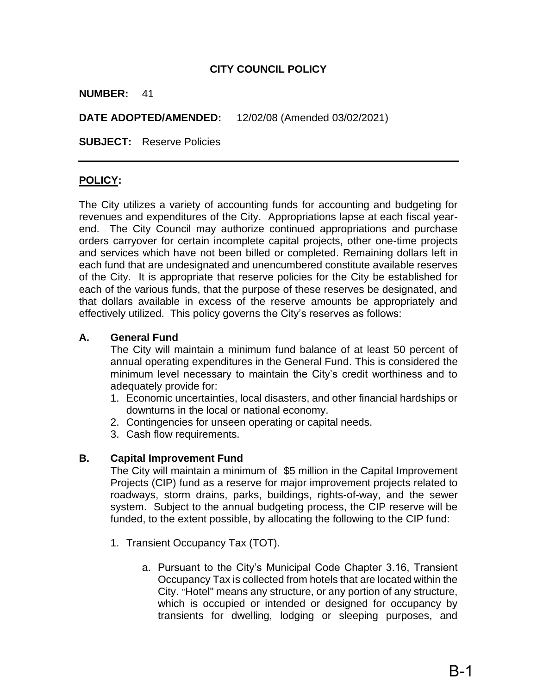## **CITY COUNCIL POLICY**

#### <span id="page-4-0"></span>**NUMBER:** 41

**DATE ADOPTED/AMENDED:** 12/02/08 (Amended 03/02/2021)

**SUBJECT:** Reserve Policies

## **POLICY:**

The City utilizes a variety of accounting funds for accounting and budgeting for revenues and expenditures of the City. Appropriations lapse at each fiscal yearend. The City Council may authorize continued appropriations and purchase orders carryover for certain incomplete capital projects, other one-time projects and services which have not been billed or completed. Remaining dollars left in each fund that are undesignated and unencumbered constitute available reserves of the City. It is appropriate that reserve policies for the City be established for each of the various funds, that the purpose of these reserves be designated, and that dollars available in excess of the reserve amounts be appropriately and effectively utilized. This policy governs the City's reserves as follows:

#### **A. General Fund**

The City will maintain a minimum fund balance of at least 50 percent of annual operating expenditures in the General Fund. This is considered the minimum level necessary to maintain the City's credit worthiness and to adequately provide for:

- 1. Economic uncertainties, local disasters, and other financial hardships or downturns in the local or national economy.
- 2. Contingencies for unseen operating or capital needs.
- 3. Cash flow requirements.

#### **B. Capital Improvement Fund**

The City will maintain a minimum of \$5 million in the Capital Improvement Projects (CIP) fund as a reserve for major improvement projects related to roadways, storm drains, parks, buildings, rights-of-way, and the sewer system. Subject to the annual budgeting process, the CIP reserve will be funded, to the extent possible, by allocating the following to the CIP fund:

- 1. Transient Occupancy Tax (TOT).
	- a. Pursuant to the City's Municipal Code Chapter 3.16, Transient Occupancy Tax is collected from hotels that are located within the City. "Hotel" means any structure, or any portion of any structure, which is occupied or intended or designed for occupancy by transients for dwelling, lodging or sleeping purposes, and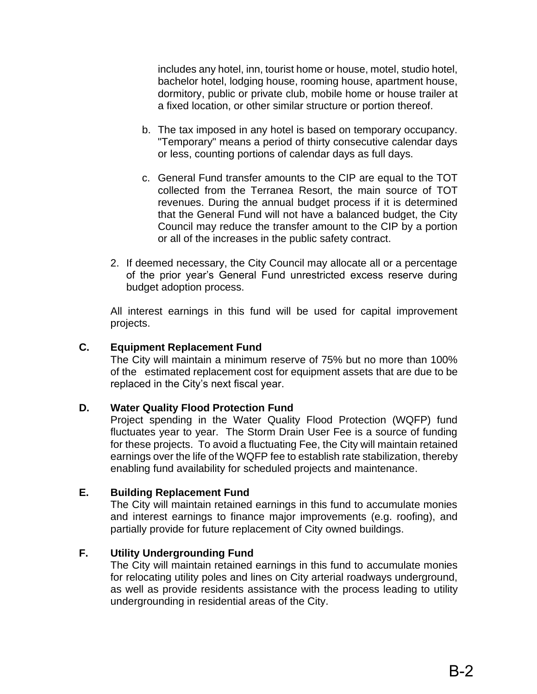includes any hotel, inn, tourist home or house, motel, studio hotel, bachelor hotel, lodging house, rooming house, apartment house, dormitory, public or private club, mobile home or house trailer at a fixed location, or other similar structure or portion thereof.

- b. The tax imposed in any hotel is based on temporary occupancy. "Temporary" means a period of thirty consecutive calendar days or less, counting portions of calendar days as full days.
- c. General Fund transfer amounts to the CIP are equal to the TOT collected from the Terranea Resort, the main source of TOT revenues. During the annual budget process if it is determined that the General Fund will not have a balanced budget, the City Council may reduce the transfer amount to the CIP by a portion or all of the increases in the public safety contract.
- 2. If deemed necessary, the City Council may allocate all or a percentage of the prior year's General Fund unrestricted excess reserve during budget adoption process.

All interest earnings in this fund will be used for capital improvement projects.

#### **C. Equipment Replacement Fund**

The City will maintain a minimum reserve of 75% but no more than 100% of the estimated replacement cost for equipment assets that are due to be replaced in the City's next fiscal year.

#### **D. Water Quality Flood Protection Fund**

Project spending in the Water Quality Flood Protection (WQFP) fund fluctuates year to year. The Storm Drain User Fee is a source of funding for these projects. To avoid a fluctuating Fee, the City will maintain retained earnings over the life of the WQFP fee to establish rate stabilization, thereby enabling fund availability for scheduled projects and maintenance.

#### **E. Building Replacement Fund**

The City will maintain retained earnings in this fund to accumulate monies and interest earnings to finance major improvements (e.g. roofing), and partially provide for future replacement of City owned buildings.

#### **F. Utility Undergrounding Fund**

The City will maintain retained earnings in this fund to accumulate monies for relocating utility poles and lines on City arterial roadways underground, as well as provide residents assistance with the process leading to utility undergrounding in residential areas of the City.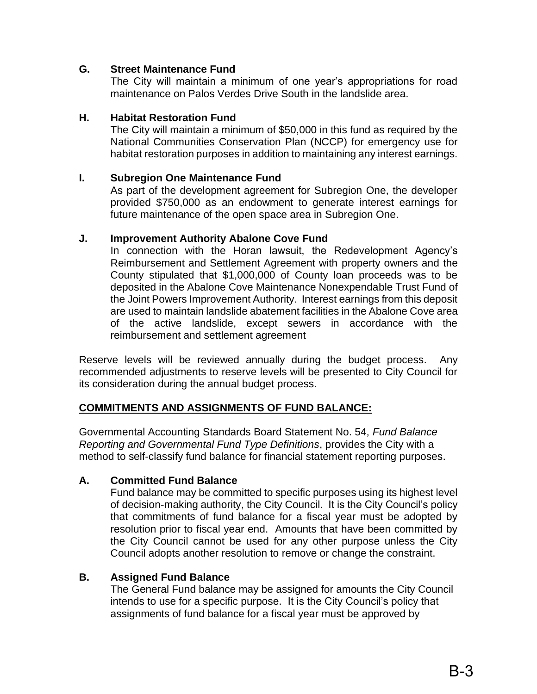## **G. Street Maintenance Fund**

The City will maintain a minimum of one year's appropriations for road maintenance on Palos Verdes Drive South in the landslide area.

#### **H. Habitat Restoration Fund**

The City will maintain a minimum of \$50,000 in this fund as required by the National Communities Conservation Plan (NCCP) for emergency use for habitat restoration purposes in addition to maintaining any interest earnings.

#### **I. Subregion One Maintenance Fund**

As part of the development agreement for Subregion One, the developer provided \$750,000 as an endowment to generate interest earnings for future maintenance of the open space area in Subregion One.

#### **J. Improvement Authority Abalone Cove Fund**

In connection with the Horan lawsuit, the Redevelopment Agency's Reimbursement and Settlement Agreement with property owners and the County stipulated that \$1,000,000 of County loan proceeds was to be deposited in the Abalone Cove Maintenance Nonexpendable Trust Fund of the Joint Powers Improvement Authority. Interest earnings from this deposit are used to maintain landslide abatement facilities in the Abalone Cove area of the active landslide, except sewers in accordance with the reimbursement and settlement agreement

Reserve levels will be reviewed annually during the budget process. Any recommended adjustments to reserve levels will be presented to City Council for its consideration during the annual budget process.

#### **COMMITMENTS AND ASSIGNMENTS OF FUND BALANCE:**

Governmental Accounting Standards Board Statement No. 54, *Fund Balance Reporting and Governmental Fund Type Definitions*, provides the City with a method to self-classify fund balance for financial statement reporting purposes.

#### **A. Committed Fund Balance**

Fund balance may be committed to specific purposes using its highest level of decision-making authority, the City Council. It is the City Council's policy that commitments of fund balance for a fiscal year must be adopted by resolution prior to fiscal year end. Amounts that have been committed by the City Council cannot be used for any other purpose unless the City Council adopts another resolution to remove or change the constraint.

#### **B. Assigned Fund Balance**

The General Fund balance may be assigned for amounts the City Council intends to use for a specific purpose. It is the City Council's policy that assignments of fund balance for a fiscal year must be approved by